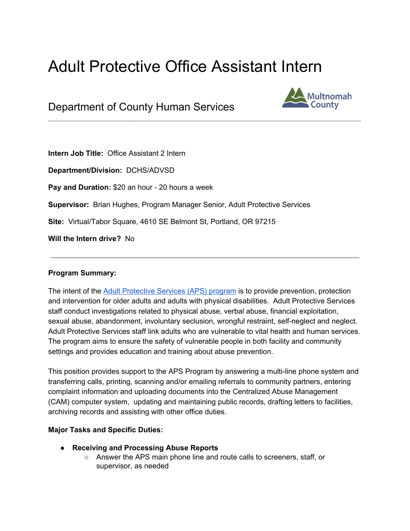# Adult Protective Office Assistant Intern

 $\mathcal{L}_\mathcal{L} = \mathcal{L}_\mathcal{L} = \mathcal{L}_\mathcal{L} = \mathcal{L}_\mathcal{L} = \mathcal{L}_\mathcal{L} = \mathcal{L}_\mathcal{L} = \mathcal{L}_\mathcal{L} = \mathcal{L}_\mathcal{L} = \mathcal{L}_\mathcal{L} = \mathcal{L}_\mathcal{L} = \mathcal{L}_\mathcal{L} = \mathcal{L}_\mathcal{L} = \mathcal{L}_\mathcal{L} = \mathcal{L}_\mathcal{L} = \mathcal{L}_\mathcal{L} = \mathcal{L}_\mathcal{L} = \mathcal{L}_\mathcal{L}$ 

Department of County Human Services



**Intern Job Title:** Office Assistant 2 Intern

**Department/Division:** DCHS/ADVSD

**Pay and Duration:** \$20 an hour - 20 hours a week

**Supervisor:** Brian Hughes, Program Manager Senior, Adult Protective Services

**Site:** Virtual/Tabor Square, 4610 SE Belmont St, Portland, OR 97215

**Will the Intern drive?** No

#### **Program Summary:**

The intent of the Adult [Protective](https://multco.us/ads/adult-protective-services) Services (APS) program is to provide prevention, protection and intervention for older adults and adults with physical disabilities. Adult Protective Services staff conduct investigations related to physical abuse, verbal abuse, financial exploitation, sexual abuse, abandonment, involuntary seclusion, wrongful restraint, self-neglect and neglect. Adult Protective Services staff link adults who are vulnerable to vital health and human services. The program aims to ensure the safety of vulnerable people in both facility and community settings and provides education and training about abuse prevention.

This position provides support to the APS Program by answering a multi-line phone system and transferring calls, printing, scanning and/or emailing referrals to community partners, entering complaint information and uploading documents into the Centralized Abuse Management (CAM) computer system, updating and maintaining public records, drafting letters to facilities, archiving records and assisting with other office duties.

#### **Major Tasks and Specific Duties:**

- **Receiving and Processing Abuse Reports**
	- Answer the APS main phone line and route calls to screeners, staff, or supervisor, as needed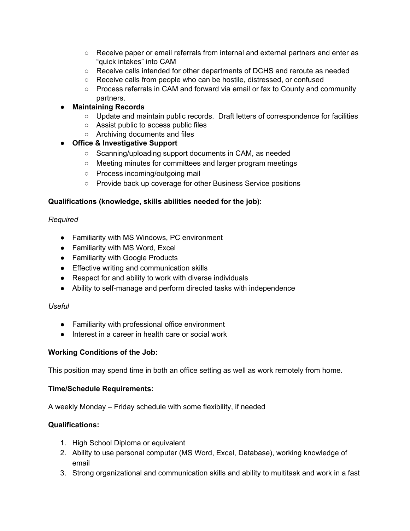- Receive paper or email referrals from internal and external partners and enter as "quick intakes" into CAM
- Receive calls intended for other departments of DCHS and reroute as needed
- Receive calls from people who can be hostile, distressed, or confused
- Process referrals in CAM and forward via email or fax to County and community partners.

# ● **Maintaining Records**

- Update and maintain public records. Draft letters of correspondence for facilities
- Assist public to access public files
- Archiving documents and files

# **● Office & Investigative Support**

- Scanning/uploading support documents in CAM, as needed
- Meeting minutes for committees and larger program meetings
- Process incoming/outgoing mail
- Provide back up coverage for other Business Service positions

## **Qualifications (knowledge, skills abilities needed for the job)**:

## *Required*

- Familiarity with MS Windows, PC environment
- Familiarity with MS Word, Excel
- Familiarity with Google Products
- Effective writing and communication skills
- Respect for and ability to work with diverse individuals
- Ability to self-manage and perform directed tasks with independence

#### *Useful*

- Familiarity with professional office environment
- Interest in a career in health care or social work

#### **Working Conditions of the Job:**

This position may spend time in both an office setting as well as work remotely from home.

#### **Time/Schedule Requirements:**

A weekly Monday – Friday schedule with some flexibility, if needed

#### **Qualifications:**

- 1. High School Diploma or equivalent
- 2. Ability to use personal computer (MS Word, Excel, Database), working knowledge of email
- 3. Strong organizational and communication skills and ability to multitask and work in a fast